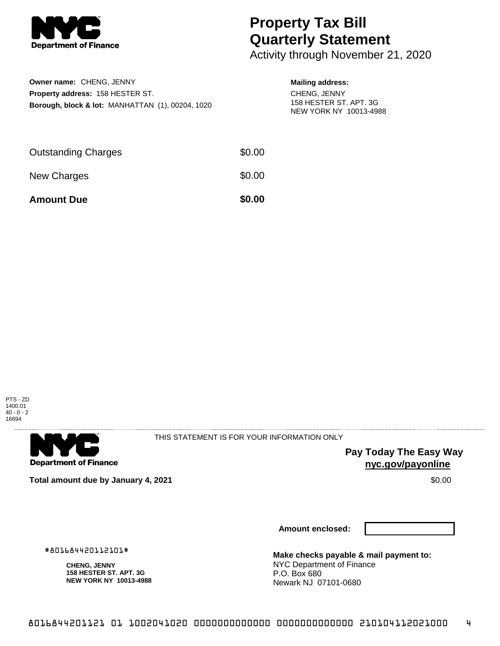

# **Property Tax Bill Quarterly Statement**

Activity through November 21, 2020

| Owner name: CHENG, JENNY                                    |
|-------------------------------------------------------------|
| <b>Property address: 158 HESTER ST.</b>                     |
| <b>Borough, block &amp; lot: MANHATTAN (1), 00204, 1020</b> |

### **Mailing address:**

CHENG, JENNY 158 HESTER ST. APT. 3G NEW YORK NY 10013-4988

| <b>Amount Due</b>          | \$0.00 |
|----------------------------|--------|
| New Charges                | \$0.00 |
| <b>Outstanding Charges</b> | \$0.00 |





THIS STATEMENT IS FOR YOUR INFORMATION ONLY

**Pay Today The Easy Way nyc.gov/payonline**

**Total amount due by January 4, 2021 \$0.00**  $\bullet$  **\$0.00**  $\bullet$  **\$0.00**  $\bullet$  **\$0.00** 

**Amount enclosed:**

#801684420112101#

**CHENG, JENNY 158 HESTER ST. APT. 3G NEW YORK NY 10013-4988** **Make checks payable & mail payment to:** NYC Department of Finance P.O. Box 680 Newark NJ 07101-0680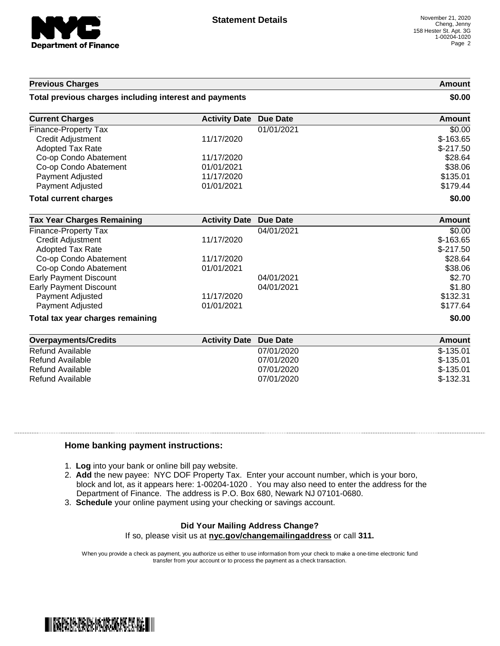

#### **Previous Charges Amount**

#### **Total previous charges including interest and payments \$0.00**

| <b>Current Charges</b>       | <b>Activity Date Due Date</b> |            | Amount     |
|------------------------------|-------------------------------|------------|------------|
| <b>Finance-Property Tax</b>  |                               | 01/01/2021 | \$0.00     |
| Credit Adjustment            | 11/17/2020                    |            | $$-163.65$ |
| <b>Adopted Tax Rate</b>      |                               |            | $$-217.50$ |
| Co-op Condo Abatement        | 11/17/2020                    |            | \$28.64    |
| Co-op Condo Abatement        | 01/01/2021                    |            | \$38.06    |
| Payment Adjusted             | 11/17/2020                    |            | \$135.01   |
| Payment Adjusted             | 01/01/2021                    |            | \$179.44   |
| <b>Total current charges</b> |                               |            | \$0.00     |

| <b>Tax Year Charges Remaining</b> | <b>Activity Date</b> | Due Date   | Amount     |
|-----------------------------------|----------------------|------------|------------|
| Finance-Property Tax              |                      | 04/01/2021 | \$0.00     |
| Credit Adjustment                 | 11/17/2020           |            | $$-163.65$ |
| <b>Adopted Tax Rate</b>           |                      |            | $$-217.50$ |
| Co-op Condo Abatement             | 11/17/2020           |            | \$28.64    |
| Co-op Condo Abatement             | 01/01/2021           |            | \$38.06    |
| <b>Early Payment Discount</b>     |                      | 04/01/2021 | \$2.70     |
| Early Payment Discount            |                      | 04/01/2021 | \$1.80     |
| Payment Adjusted                  | 11/17/2020           |            | \$132.31   |
| Payment Adjusted                  | 01/01/2021           |            | \$177.64   |
| Total tax year charges remaining  |                      |            | \$0.00     |

| Overpayments/Credits | <b>Activity Date Due Date</b> | Amount     |
|----------------------|-------------------------------|------------|
| Refund Available     | 07/01/2020                    | $$-135.01$ |
| Refund Available     | 07/01/2020                    | $$-135.01$ |
| Refund Available     | 07/01/2020                    | $$-135.01$ |
| Refund Available     | 07/01/2020                    | $$-132.31$ |

#### **Home banking payment instructions:**

- 1. **Log** into your bank or online bill pay website.
- 2. **Add** the new payee: NYC DOF Property Tax. Enter your account number, which is your boro, block and lot, as it appears here: 1-00204-1020 . You may also need to enter the address for the Department of Finance. The address is P.O. Box 680, Newark NJ 07101-0680.
- 3. **Schedule** your online payment using your checking or savings account.

## **Did Your Mailing Address Change?**

If so, please visit us at **nyc.gov/changemailingaddress** or call **311.**

When you provide a check as payment, you authorize us either to use information from your check to make a one-time electronic fund transfer from your account or to process the payment as a check transaction.